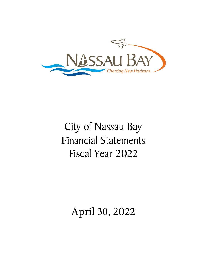

# City of Nassau Bay Financial Statements Fiscal Year 2022

April 30, 2022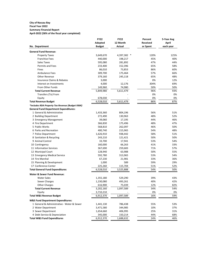#### **City of Nassau Bay Fiscal Year 2022**

# **Summary Financial Report**

**April-2022 (58% of the fiscal year completed)**

|                                                  | <b>FY22</b>   | <b>FY22</b> | Percent         | 5-Year Avg |
|--------------------------------------------------|---------------|-------------|-----------------|------------|
|                                                  | Adopted       | 12 Month    | <b>Received</b> | April      |
| No. Department                                   | <b>Budget</b> | Actual      | or Spent        | each year  |
| <b>General Fund Revenue:</b>                     |               |             |                 |            |
| <b>Property Taxes</b>                            | 3,649,670     | 4,397,382 * | 120%            | 125%       |
| <b>Franchise Fees</b>                            | 440,000       | 198,217     | 45%             | 40%        |
| Sales Taxes                                      | 595,080       | 281,892     | 47%             | 44%        |
| <b>Permits and Fees</b>                          | 233,400       | 152,396     | 65%             | 58%        |
| Fines                                            | 86,010        | 73,853      | 86%             | 60%        |
| <b>Ambulance Fees</b>                            | 309,700       | 175,464     | 57%             | 66%        |
| Other Revenue                                    | 379,160       | 245,118     | 65%             | 48%        |
| <b>Insurance Claims &amp; Rebates</b>            | 3,000         |             | 0%              | 12%        |
| Interest on Investments                          | 4,000         | 12,176      | 304%            | 69%        |
| From Other Funds                                 | 149,960       | 74,980      | 50%             | 50%        |
| <b>Total Current Revenue</b>                     | 5,849,980     | 5,611,479   | 96%             | 93%        |
| Transfers (To) From                              |               |             | 0%              | 0%         |
| Equity                                           | 678,030       |             | 0%              | 0%         |
| <b>Total Revenue Budget</b>                      | 6,528,010     | 5,611,479   | 86%             | 87%        |
| *Includes RDA Property Tax Revenue (Budget 936K) |               |             |                 |            |
| <b>General Fund Department Expenditures:</b>     |               |             |                 |            |
| 1 General & Administrative                       | 1,433,360     | 804,196     | 56%             | 51%        |
| 2 Building Department                            | 272,490       | 130,963     | 48%             | 52%        |
| 3 Emergency Management                           | 39,060        | 17,195      | 44%             | 46%        |
| 4 Fire Department                                | 366,830       | 175,496     | 48%             | 47%        |
| 5 Public Works                                   | 568,810       | 262,097     | 46%             | 50%        |
| 6 Parks and Recreation                           | 400,740       | 215,965     | 54%             | 48%        |
| 7 Police Department                              | 1,626,910     | 938,442     | 58%             | 51%        |
| 8 Sanitation & Recycling                         | 243,210       | 121,421     | 50%             | 50%        |
| 9 Animal Control                                 | 33,700        | 17,941      | 53%             | 54%        |
| 10 Contingency                                   | 160,000       | 66,263      | 41%             | 33%        |
| 11 Information Services                          | 367,690       | 259,683     | 71%             | 57%        |
| 12 Municipal Court                               | 128,940       | 63,988      | 50%             | 55%        |
| 13 Emergency Medical Service                     | 592,780       | 313,965     | 53%             | 54%        |
| 14 Fire Marshal                                  | 67,230        | 21,981      | 33%             | 36%        |
| 15 Planning & Development                        | 1,000         | 589         | 59%             | 29%        |
| 17 Conference Center                             | 225,260       | 115,704     | 51%             | 52%        |
| <b>Total General Fund Expenditures</b>           | 6,528,010     | 3,525,888   | 54%             | 50%        |
| Water & Sewer Fund Revenue:                      |               |             |                 |            |
| <b>Water Sales</b>                               | 1,355,180     | 529,290     | 39%             | 43%        |
| Sewer Charges                                    | 1,230,080     | 493,261     | 40%             | 42%        |
| <b>Other Charges</b>                             | 616,900       | 75,039      | 12%             | 82%        |
| <b>Total Current Revenue</b>                     | 3,202,160     | 1,097,589   | 34%             | 54%        |
| Equity                                           | 3,710,210     |             | 0%              | 0%         |
| <b>Total W&amp;S Revenue Budget</b>              | 6,912,370     | 1,097,589   | 16%             | 59%        |
| <b>W&amp;S Fund Department Expenditures:</b>     |               |             |                 |            |
| 1 General & Administrative - Water & Sewer       | 1,441,130     | 786,438     | 55%             | 53%        |
| 2 Water Department                               | 3,471,580     | 344,985     | 10%             | 37%        |
| 3 Sewer Department                               | 1,654,660     | 406,995     | 25%             | 31%        |
| 4 Debt Service & Depreciation                    | 345,000       | 150,214     | 44%             | 68%        |
| <b>Total W&amp;S Fund Expenditures</b>           | 6,912,370     | 1,688,632   | 24%             | 46%        |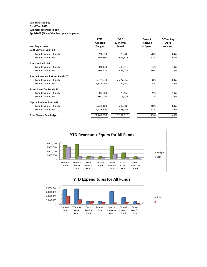# **City of Nassau Bay**

#### **Fiscal Year 2022 Summary Financial Report**

**April-2022 (58% of the fiscal year completed)**

|                                   | <b>FY22</b>   | <b>FY22</b> | Percent  | 5-Year Avg |
|-----------------------------------|---------------|-------------|----------|------------|
|                                   | Adopted       | 12 Month    | Received | April      |
| No. Department                    | <b>Budget</b> | Actual      | or Spent | each year  |
| Debt Service Fund - 04            |               |             |          |            |
| Total Revenue + Equity            | 991,890       | 773,088     | 78%      | 64%        |
| <b>Total Expenditures</b>         | 991,890       | 905,313     | 91%      | 91%        |
| Tourism Fund - 06                 |               |             |          |            |
| Total Revenue + Equity            | 901,470       | 305,015     | 34%      | 33%        |
| <b>Total Expenditures</b>         | 901,470       | 449,125     | 50%      | 25%        |
| Special Revenue & Grant Fund - 07 |               |             |          |            |
| Total Revenue + Equity            | 5,877,030     | 2,227,859   | 38%      | 64%        |
| <b>Total Expenditures</b>         | 5,877,030     | 220,440     | 4%       | 36%        |
| <b>Street Sales Tax Fund - 10</b> |               |             |          |            |
| Total Revenue + Equity            | 800,000       | 73,456      | 9%       | 19%        |
| <b>Total Expenditures</b>         | 800,000       | 9,477       | 1%       | 19%        |
| Capital Projects Fund - 09        |               |             |          |            |
| Total Revenue + Equity            | 2,733,100     | 282,888     | 10%      | 64%        |
| <b>Total Expenditures</b>         | 2,733,100     | 358,142     | 13%      | 39%        |
| <b>Total Nassau Bay Budget</b>    | 24,743,870    | 7,157,018   | 29%      | 45%        |

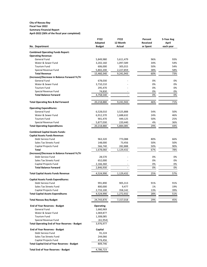#### **City of Nassau Bay Fiscal Year 2022 Summary Financial Report April-2022 (58% of the fiscal year completed)**

|                                                                   | <b>FY22</b>            | <b>FY22</b>          | Percent         | 5-Year Avg |
|-------------------------------------------------------------------|------------------------|----------------------|-----------------|------------|
|                                                                   | Adopted                | 12 Month             | <b>Received</b> | April      |
| No. Department                                                    | <b>Budget</b>          | <b>Actual</b>        | or Spent        | each year  |
| <b>Combined Operating Funds Report:</b>                           |                        |                      |                 |            |
| <b>Operating Revenue:</b>                                         |                        |                      |                 |            |
| <b>General Fund</b>                                               | 5,849,980              | 5,611,479            | 96%             | 93%        |
| Water & Sewer Fund                                                | 3,202,160              | 1,097,589            | 34%             | 54%        |
| <b>Tourism Fund</b>                                               | 606,000                | 305,015              | 50%             | 54%        |
| Special Revenue Fund                                              | 5,802,200              | 2,227,859            | 38%             | 58%        |
| <b>Total Revenue</b>                                              | 15,460,340             | 9,241,943            | 60%             | 73%        |
| (Increase)/Decrease in Balance Forward Yr/Yr                      |                        |                      |                 |            |
| <b>General Fund</b>                                               | 678,030                |                      | 0%              | 0%         |
| Water & Sewer Fund                                                | 3,710,210              |                      | 0%              | 0%         |
| <b>Tourism Fund</b>                                               | 295,470                |                      | 0%              | 0%         |
| Special Revenue Fund                                              | 74,830                 |                      | 0%              | 0%         |
| <b>Total Balance Forward</b>                                      | 4,758,540              |                      | 0%              | 0%         |
|                                                                   |                        |                      |                 |            |
| <b>Total Operating Rev &amp; Bal Forward</b>                      | 20,218,880             | 9,241,943            | 46%             | 71%        |
| <b>Operating Expenditures:</b>                                    |                        |                      |                 |            |
| <b>General Fund</b>                                               | 6,528,010              | 3,525,888            | 54%             | 50%        |
| Water & Sewer Fund                                                | 6,912,370              | 1,688,632            | 24%             | 46%        |
| <b>Tourism Fund</b>                                               | 901,470                | 449,125              | 50%             | 25%        |
| Special Revenue Fund                                              | 5,877,030              | 220,440              | 4%              | 36%        |
| <b>Total Operating Expenditures</b>                               | 20,218,880             | 5,884,085            | 29%             | 44%        |
|                                                                   |                        |                      |                 |            |
| <b>Combined Capital Assets Funds:</b>                             |                        |                      |                 |            |
| <b>Capital Assets Funds Revenue:</b>                              |                        |                      |                 |            |
| Debt Service Fund                                                 | 963,320                | 773,088              | 80%             | 66%        |
| Sales Tax Streets Fund                                            | 148,000                | 73,456               | 50%             | 50%        |
| Capital Projects Fund                                             | 566,740                | 282,888              | 50%             | 90%        |
| Total                                                             | 1,678,060              | 1,129,432            | 67%             | 78%        |
| (Increase)/Decrease in Balance Forward Yr/Yr                      |                        |                      |                 |            |
| Debt Service Fund                                                 | 28,570                 |                      | 0%              | 0%         |
| Sales Tax Streets Fund                                            | 652,000                |                      | 0%              | 0%         |
| Capital Projects Fund                                             | 2,166,360              |                      | 0%              | 0%         |
| <b>Total Balance Forward</b>                                      | 2,846,930              |                      | 0%              | 0%         |
| <b>Total Capital Assets Funds Revenue</b>                         | 4,524,990              | 1,129,432            | 25%             | 57%        |
|                                                                   |                        |                      |                 |            |
| <b>Capital Assets Funds Expenditures:</b>                         |                        |                      |                 |            |
| Debt Service Fund                                                 | 991,890                | 905,313              | 91%             | 91%        |
| Sales Tax Streets Fund                                            | 800,000                | 9,477                | 1%              | 19%<br>39% |
| Capital Projects Fund<br><b>Total Capital Assets Expenditures</b> | 2,733,100<br>4,524,990 | 358,142<br>1,272,932 | 13%<br>28%      | 51%        |
|                                                                   |                        |                      |                 |            |
| <b>Total Nassau Bay Budget</b>                                    | 24,743,870             | 7,157,018            | 29%             | 45%        |
| <b>End of Year Reserves - Budget</b>                              | <b>Operating</b>       |                      |                 |            |
| General Fund                                                      | 1,660,969              |                      |                 |            |
| Water & Sewer Fund                                                | 1,069,877              |                      |                 |            |
| <b>Tourism Fund</b>                                               | 1,308,085              |                      |                 |            |
| Special Revenue Fund                                              | (61, 954)              |                      |                 |            |
| <b>Total Operating End of Year Reserves - Budget</b>              | 3,976,977              |                      |                 |            |
| <b>End of Year Reserves - Budget</b>                              | Capital                |                      |                 |            |
| Debt Service Fund                                                 | 91,224                 |                      |                 |            |
| Sales Tax Streets Fund                                            | 244,066                |                      |                 |            |
| Capital Projects Fund                                             | 474,456                |                      |                 |            |
| <b>Total Capital End of Year Reserves - Budget</b>                | 809,746                |                      |                 |            |
| <b>Total End of Year Reserves - Budget</b>                        | 4,786,723              |                      |                 |            |
|                                                                   |                        |                      |                 |            |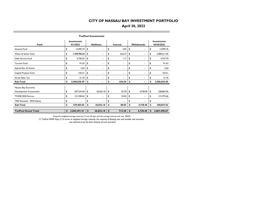# **April 30, 2022**

|                            | <b>TexPool Investments</b> |                                |    |                  |          |        |    |                    |    |                                  |  |  |  |
|----------------------------|----------------------------|--------------------------------|----|------------------|----------|--------|----|--------------------|----|----------------------------------|--|--|--|
| Fund                       |                            | <b>Investments</b><br>4/1/2022 |    | <b>Additions</b> | Interest |        |    | <b>Withdrawals</b> |    | <b>Investments</b><br>04/30/2022 |  |  |  |
| General Fund               | \$                         | 12,092.74                      | \$ |                  | \$       | 3.02   | \$ | ۰                  | \$ | 12,095.76                        |  |  |  |
| Water & Sewer Fund         | \$                         | 2,488,988.68                   | \$ |                  | \$       | 622.37 | \$ |                    | \$ | 2,489,611.05                     |  |  |  |
| Debt Service Fund          | \$                         | 4,726.53                       | \$ | ۰                | \$       | 1.17   | \$ | ۰                  | \$ | 4,727.70                         |  |  |  |
| Tourism Fund               | \$                         | 91.63                          | \$ | ٠                | \$       | ۰      | \$ | ۰                  | \$ | 91.63                            |  |  |  |
| Special Rev. & Grants      | \$                         | 2.64                           | \$ |                  | \$       |        | \$ |                    | \$ | 2.64                             |  |  |  |
| Capital Projects Fund      | \$                         | 102.51                         | \$ |                  | \$       |        | \$ |                    | \$ | 102.51                           |  |  |  |
| <b>Street Sales Tax</b>    | \$                         | 21.76                          | \$ |                  | \$       |        | \$ |                    | \$ | 21.76                            |  |  |  |
| Sub-Total                  | \$                         | 2,506,026.49                   | s  |                  | \$       | 626.56 | \$ |                    | \$ | 2,506,653.05                     |  |  |  |
| Nassau Bay Economic        |                            |                                |    |                  |          |        |    |                    |    |                                  |  |  |  |
| Development Corporation    | \$                         | 207,524.40                     | \$ | 26,022.18        | \$       | 55.78  | \$ | 4,738.40           | \$ | 228,863.96                       |  |  |  |
| TWDB 2020 Escrow           | \$                         | 131,940.62                     | \$ |                  | \$       | 33.04  | \$ |                    | \$ | 131,973.66                       |  |  |  |
| TIRZ Revenue - RDA Equity  | \$                         |                                | \$ |                  | \$       |        | \$ |                    | \$ |                                  |  |  |  |
| Sub-Total                  | \$                         | 339,465.02                     | \$ | 26,022.18        | \$       | 88.82  | \$ | 4,738.40           | S  | 360,837.62                       |  |  |  |
| <b>TexPool Grand Total</b> | \$                         | 2,845,491.51                   | \$ | 26,022.18        | \$       | 715.38 | \$ | 4,738.40           | \$ | 2,867,490.67                     |  |  |  |

Texpool's weighted average maturity (\*) was 26 days and the average interest rate was .3042%.

*(\*) TexPool WAM Days (2) To arrive at weighted average maturity, the maturity of floating rate and variable rate securities* 

 *was deemed to be the final maturity of such securities.*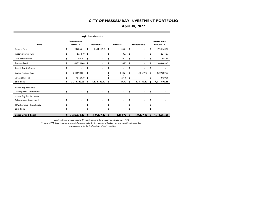**April 30, 2022**

|                           | <b>Logic Investments</b> |                                |    |                  |    |          |    |             |    |                                  |  |  |  |
|---------------------------|--------------------------|--------------------------------|----|------------------|----|----------|----|-------------|----|----------------------------------|--|--|--|
| Fund                      |                          | <b>Investments</b><br>4/1/2022 |    | <b>Additions</b> |    | Interest |    | Withdrawals |    | <b>Investments</b><br>04/30/2022 |  |  |  |
| General Fund              | \$                       | 285,865.41                     | \$ | 1,634,139.42     | \$ | 155.74   | \$ | ٠           | \$ | 1,920,160.57                     |  |  |  |
| Water & Sewer Fund        | \$                       | 2,214.10                       | \$ | ٠                | \$ | 0.77     | \$ | ٠           | \$ | 2.214.87                         |  |  |  |
| Debt Service Fund         | \$                       | 491.82                         | \$ |                  | \$ | 0.17     | \$ | ä,          | \$ | 491.99                           |  |  |  |
| <b>Tourism Fund</b>       | \$                       | 400,550.64                     | \$ | ٠                | \$ | 138.85   | \$ | ٠           | \$ | 400,689.49                       |  |  |  |
| Special Rev. & Grants     | \$                       | ٠                              | \$ | ٠                | \$ |          | \$ | ٠           | \$ |                                  |  |  |  |
| Capital Projects Fund     | \$                       | 2,442,984.54                   | \$ |                  | \$ | 842.21   | \$ | 134,139.42  | \$ | 2,309,687.33                     |  |  |  |
| <b>Street Sales Tax</b>   | \$                       | 78,423.78                      | \$ |                  | \$ | 27.18    | \$ |             | \$ | 78,450.96                        |  |  |  |
| Sub-Total                 | \$                       | 3,210,530.29                   | \$ | 1,634,139.42     | \$ | 1,164.92 | \$ | 134,139.42  | \$ | 4,711,695.21                     |  |  |  |
| Nassau Bay Economic       |                          |                                |    |                  |    |          |    |             |    |                                  |  |  |  |
| Development Corporation   | \$                       | ٠                              | \$ | ٠                | \$ | ٠        | \$ | ۰           | \$ |                                  |  |  |  |
| Nassau Bay Tax Increment  |                          |                                |    |                  |    |          |    |             |    |                                  |  |  |  |
| Reinvestment Zone No. I   | \$                       | ٠                              | \$ | ٠                | \$ | ٠        | \$ | ٠           | \$ |                                  |  |  |  |
| TIRZ Revenue - RDA Equity | \$                       | ٠                              | \$ | ٠                | \$ | ÷        | \$ | ä,          | \$ |                                  |  |  |  |
| Sub-Total                 | \$                       | $\blacksquare$                 | \$ | $\blacksquare$   | \$ | ٠        | \$ | ۰           | \$ |                                  |  |  |  |
| <b>Logic Grand Total</b>  | \$                       | 3,210,530.29                   | \$ | 1,634,139.42     | \$ | 1,164.92 | \$ | 134,139.42  | \$ | 4,711,695.21                     |  |  |  |
|                           |                          |                                |    |                  |    |          |    |             |    |                                  |  |  |  |

Logic's weighted average maturity (\*) was 32 days and the average interest rate was .4195%.

*(\*) Logic WAM Days To arrive at weighted average maturity, the maturity of floating rate and variable rate securities* 

 *was deemed to be the final maturity of such securities.*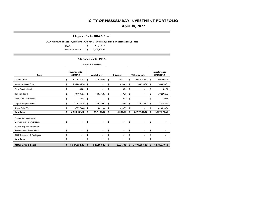# **April 30, 2022**

**Allegiance Bank - DDA & Grant**

DDA Minimum Balance - Qualifies the City for a 1.00 earnings credit on account analysis fees

| DDA                    | \$<br>400.000.00   |
|------------------------|--------------------|
| <b>Elevation Grant</b> | \$<br>2,003,525.65 |

#### **Allegiance Bank - MMA**

| Interest Rate 0.60%       |                                |                          |                  |                |          |                |    |              |    |                                  |  |  |  |
|---------------------------|--------------------------------|--------------------------|------------------|----------------|----------|----------------|----|--------------|----|----------------------------------|--|--|--|
| Fund                      | <b>Investments</b><br>4/1/2022 |                          | <b>Additions</b> |                | Interest |                |    | Withdrawals  |    | <b>Investments</b><br>04/30/2022 |  |  |  |
| General Fund              | \$                             | 3,319,781.87             | \$               | 336,705.89     | \$       | 1,467.71       | \$ | 2,054,149.42 | \$ | 1,603,806.05                     |  |  |  |
| Water & Sewer Fund        | \$                             | 1,854,865.20             | \$               | $\blacksquare$ | \$       | 899.49         | \$ | 308,914.38   | \$ | 1,546,850.31                     |  |  |  |
| Debt Service Fund         | \$                             | 84.84                    | \$               | ۰              | \$       | 0.04           | \$ | ٠            | \$ | 84.88                            |  |  |  |
| <b>Tourism Fund</b>       | \$                             | 339,086.53               | \$               | 43,336.83      | \$       | 169.36         | \$ | ۰            | \$ | 382,592.72                       |  |  |  |
| Special Rev. & Grants     | \$                             | 30.44                    | \$               | ÷.             | \$       | 0.02           | \$ | ۰            | \$ | 30.46                            |  |  |  |
| Capital Projects Fund     | \$                             | 113,332.26               | \$               | 134,139.42     | \$       | 55.89          | \$ | 134,139.42   | \$ | 113,388.15                       |  |  |  |
| <b>Street Sales Tax</b>   | \$                             | 877,373.66               | \$               | 13,011.08      | \$       | 433.32         | \$ |              | \$ | 890,818.06                       |  |  |  |
| Sub-Total                 | \$                             | 6,504,554.80             | \$               | 527,193.22     | \$       | 3,025.83       | \$ | 2,497,203.22 | \$ | 4,537,570.63                     |  |  |  |
| Nassau Bay Economic       |                                |                          |                  |                |          |                |    |              |    |                                  |  |  |  |
| Development Corporation   | \$                             | $\blacksquare$           | \$               | ٠              | \$       | ٠              | \$ | ٠            | \$ |                                  |  |  |  |
| Nassau Bay Tax Increment  |                                |                          |                  |                |          |                |    |              |    |                                  |  |  |  |
| Reinvestment Zone No. I   | \$                             | $\overline{\phantom{a}}$ | \$               | $\blacksquare$ | \$       | ٠              | \$ | ٠            | \$ |                                  |  |  |  |
| TIRZ Revenue - RDA Equity | \$                             |                          | \$               | ۰              | \$       | ٠              | \$ |              | \$ |                                  |  |  |  |
| Sub-Total                 | \$                             | $\blacksquare$           | \$               |                | \$       | $\blacksquare$ | \$ |              | \$ |                                  |  |  |  |
| <b>MMA Grand Total</b>    | \$                             | 6,504,554.80             | \$               | 527,193.22     | \$       | 3,025.83       | \$ | 2,497,203.22 | \$ | 4,537,570.63                     |  |  |  |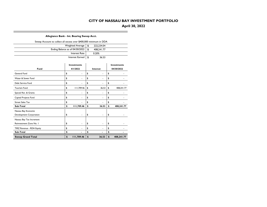# **April 30, 2022**

#### **Allegiance Bank - Int. Bearing Sweep Acct.**

|                           | Sweep Account to collect all excess over \$400,000 minimum in DDA |                                 |    |                |    |                    |  |  |  |  |  |  |  |  |
|---------------------------|-------------------------------------------------------------------|---------------------------------|----|----------------|----|--------------------|--|--|--|--|--|--|--|--|
|                           |                                                                   | <b>Weighted Average</b>         | \$ | 222,234.04     |    |                    |  |  |  |  |  |  |  |  |
|                           |                                                                   | Ending Balance as of 04/30/2022 | \$ | 408,241.77     |    |                    |  |  |  |  |  |  |  |  |
|                           |                                                                   | Interest Rate                   |    | 0.20%          |    |                    |  |  |  |  |  |  |  |  |
|                           |                                                                   | Interest Earned                 | \$ | 36.53          |    |                    |  |  |  |  |  |  |  |  |
|                           |                                                                   |                                 |    |                |    |                    |  |  |  |  |  |  |  |  |
|                           |                                                                   | <b>Investments</b>              |    |                |    | <b>Investments</b> |  |  |  |  |  |  |  |  |
| Fund                      |                                                                   | 4/1/2022                        |    | Interest       |    | 04/30/2022         |  |  |  |  |  |  |  |  |
| General Fund              | \$                                                                | ä,                              | \$ |                | \$ |                    |  |  |  |  |  |  |  |  |
| Water & Sewer Fund        | \$                                                                | ٠                               | \$ | ٠              | \$ |                    |  |  |  |  |  |  |  |  |
| Debt Service Fund         | \$                                                                |                                 | \$ |                | \$ |                    |  |  |  |  |  |  |  |  |
| <b>Tourism Fund</b>       | \$                                                                | 111,709.46                      | \$ | 36.53          | \$ | 408,241.77         |  |  |  |  |  |  |  |  |
| Special Rev. & Grants     | \$                                                                | $\overline{\phantom{m}}$        | \$ | ٠              | \$ |                    |  |  |  |  |  |  |  |  |
| Capital Projects Fund     | \$                                                                |                                 | \$ |                | \$ |                    |  |  |  |  |  |  |  |  |
| <b>Street Sales Tax</b>   | \$                                                                |                                 | \$ |                | \$ |                    |  |  |  |  |  |  |  |  |
| Sub-Total                 | \$                                                                | 111,709.46                      | \$ | 36.53          | \$ | 408,241.77         |  |  |  |  |  |  |  |  |
| Nassau Bay Economic       |                                                                   |                                 |    |                |    |                    |  |  |  |  |  |  |  |  |
| Development Corporation   | \$                                                                |                                 | \$ |                | \$ |                    |  |  |  |  |  |  |  |  |
| Nassau Bay Tax Increment  |                                                                   |                                 |    |                |    |                    |  |  |  |  |  |  |  |  |
| Reinvestment Zone No. I   | \$                                                                | ٠                               | \$ | ٠              | \$ |                    |  |  |  |  |  |  |  |  |
| TIRZ Revenue - RDA Equity | \$                                                                |                                 | \$ |                | \$ |                    |  |  |  |  |  |  |  |  |
| Sub-Total                 | \$                                                                | $\blacksquare$                  | \$ | $\blacksquare$ | \$ |                    |  |  |  |  |  |  |  |  |
| <b>Sweep Grand Total</b>  | \$                                                                | 111,709.46                      | \$ | 36.53          | \$ | 408,241.77         |  |  |  |  |  |  |  |  |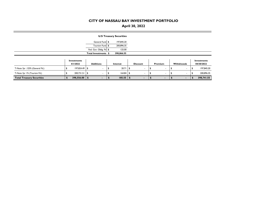# **April 30, 2022**

|                                  |                         |                          | <b>U.S Treasury Securities</b> |      |                 |                          |                          |                           |
|----------------------------------|-------------------------|--------------------------|--------------------------------|------|-----------------|--------------------------|--------------------------|---------------------------|
|                                  |                         | General Fund \$          | 197,845.20                     |      |                 |                          |                          |                           |
|                                  |                         | Tourism Fund \$          | 200,896.35                     |      |                 |                          |                          |                           |
|                                  |                         | Fed. Gov. Oblig. Fd \$   | 125.00                         |      |                 |                          |                          |                           |
|                                  |                         | Total Investments \$     | 398,866.55                     |      |                 |                          |                          |                           |
|                                  | Investments<br>4/1/2022 | <b>Additions</b>         | Interest                       |      | <b>Discount</b> | Premium                  | Withdrawals              | Investments<br>04/30/2022 |
| T-Note 3yr .125% (General Fd.)   | 197,824.49 \$           |                          | 20.71                          | - \$ |                 |                          | $\overline{\phantom{a}}$ | 197,845.20                |
| T-Note 3yr 1% (Tourism Fd.)      | $200,731.51$ \\$        | $\overline{\phantom{a}}$ | $164.84$ \ \$                  |      | $\blacksquare$  | $\overline{\phantom{a}}$ | $\overline{\phantom{a}}$ | 200,896.35                |
| <b>Total Treasury Securities</b> | $398,556.00$   \$       |                          | 185.55                         |      | $\blacksquare$  | ۰.                       | ٠                        | 398,741.55                |

**COL**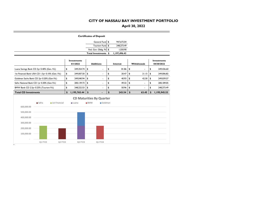# **April 30, 2022**

|                                                  |         |               |                                |            | <b>Certificates of Deposit</b>  |                  |              |             |               |                                  |
|--------------------------------------------------|---------|---------------|--------------------------------|------------|---------------------------------|------------------|--------------|-------------|---------------|----------------------------------|
|                                                  |         |               |                                |            | General Fund \$                 | 947,672.04       |              |             |               |                                  |
|                                                  |         |               |                                |            | <b>Tourism Fund</b>             | \$<br>248,273.49 |              |             |               |                                  |
|                                                  |         |               |                                |            | Fed. Gov. Oblig. Fd \$          | 1.550.90         |              |             |               |                                  |
|                                                  |         |               |                                |            | Total Investments \$            | 1,197,496.43     |              |             |               |                                  |
|                                                  |         |               | <b>Investments</b><br>4/1/2022 |            | <b>Additions</b>                | Interest         |              | Withdrawals |               | <b>Investments</b><br>04/30/2022 |
| Luana Savings Bank CD 3yr 0.40% (Gen. Fd.)       |         |               | \$<br>249,354.74               | \$         | ä,                              | \$<br>81.86      | \$           |             | \$            | 249,436.60                       |
| 1st Financial Bank USA CD 1.5yr 0.10% (Gen. Fd.) |         |               | \$<br>249,007.50               | \$         | ٠                               | \$<br>20.47      | \$           | 21.15       | \$            | 249,006.82                       |
| Goldman Sachs Bank CD 2yr 0.20% (Gen Fd.)        |         |               | \$<br>249,040.94               | \$         |                                 | \$<br>40.93      | \$           | 42.30       | \$            | 249,039.57                       |
| Safra National Bank CD Iyr 0.30% (Gen Fd.)       |         |               | \$<br>200, 139.73              | \$         |                                 | \$<br>49.32      | \$           |             | \$            | 200, 189.05                      |
| BMW Bank CD 2.5yr 0.25% (Tourism Fd.)            |         |               | \$<br>248,222.53               | \$         | ٠                               | \$<br>50.96      | \$           |             | \$            | 248,273.49                       |
| <b>Total CD Investments</b>                      |         |               | \$<br>1,195,765.44             | \$         | ٠                               | \$<br>243.54     | $\mathbf{s}$ | 63.45       | <sup>\$</sup> | 1,195,945.53                     |
|                                                  |         |               |                                |            | <b>CD Maturities By Quarter</b> |                  |              |             |               |                                  |
|                                                  |         |               |                                |            |                                 |                  |              |             |               |                                  |
|                                                  | ■ Safra | 1st Financial | <b>■</b> Luana                 | <b>BMW</b> | Goldman                         |                  |              |             |               |                                  |
| 600,000.00                                       |         |               |                                |            |                                 |                  |              |             |               |                                  |
| 500,000.00                                       |         |               |                                |            |                                 |                  |              |             |               |                                  |
|                                                  |         |               |                                |            |                                 |                  |              |             |               |                                  |
| 400,000.00                                       |         |               |                                |            |                                 |                  |              |             |               |                                  |
| 300,000.00                                       |         |               |                                |            |                                 |                  |              |             |               |                                  |
| 200,000.00                                       |         |               |                                |            |                                 |                  |              |             |               |                                  |
| 100,000.00                                       |         |               |                                |            |                                 |                  |              |             |               |                                  |

m.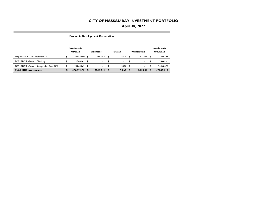# **April 30, 2022**

**Economic Development Corporation**

**COL** 

|                                              | Investments<br>4/1/2022 |     | <b>Additions</b> | Interest     | <b>Withdrawals</b> | Investments<br>04/30/2022 |
|----------------------------------------------|-------------------------|-----|------------------|--------------|--------------------|---------------------------|
| Texpool - EDC - Int. Rate 0.3042%            | 207.524.40 \$           |     | $26.022.18$ \$   |              | $4.738.40$ \ \$    | 228.863.96                |
| TCB - EDC BizReward Checking                 | 20,402.61               | 1 S | ۰.               | ٠.           | ٠                  | 20.402.61                 |
| TCB - EDC BizReward Savings - Int. Rate .20% | 244.644.69 \$           |     | ۰.               | $38.88$ \ \$ |                    | 244.683.57                |
| <b>Total EDC Investments</b>                 | 472.571.70              |     | 26,022.18        | 94.66        | 4.738.40           | 493,950.14                |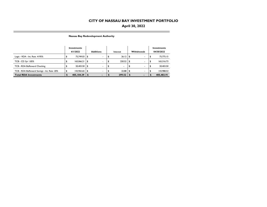# **April 30, 2022**

**Nassau Bay Redevelopment Authority**

п

|                                              |          | Investments  |                  |                          |          |        |             |                          | Investments |
|----------------------------------------------|----------|--------------|------------------|--------------------------|----------|--------|-------------|--------------------------|-------------|
|                                              | 4/1/2022 |              | <b>Additions</b> |                          | Interest |        | Withdrawals |                          | 04/30/2022  |
| Logic - RDA - Int. Rate .4195%               |          | 75.749.03    | l Si             |                          |          | 26.12  | - \$        | ۰                        | 75,775.15   |
| TCB - CD 3yr 1.85%                           |          | 165,066.21   | \$               | $\overline{\phantom{a}}$ |          | 250.52 | \$          |                          | 165,316.73  |
| TCB - RDA BizReward Checking                 |          | 20,403.50 \$ |                  | $\sim$                   |          |        |             | $\overline{\phantom{a}}$ | 20,403.50   |
| TCB - RDA BizReward Savings - Int. Rate .20% |          | 143.965.65   | l \$             |                          |          | 22.88  | \$          |                          | 143.988.53  |
| <b>Total RDA Investments</b>                 |          | 405,184.39   |                  |                          |          | 299.52 | - 5         |                          | 405,483.91  |